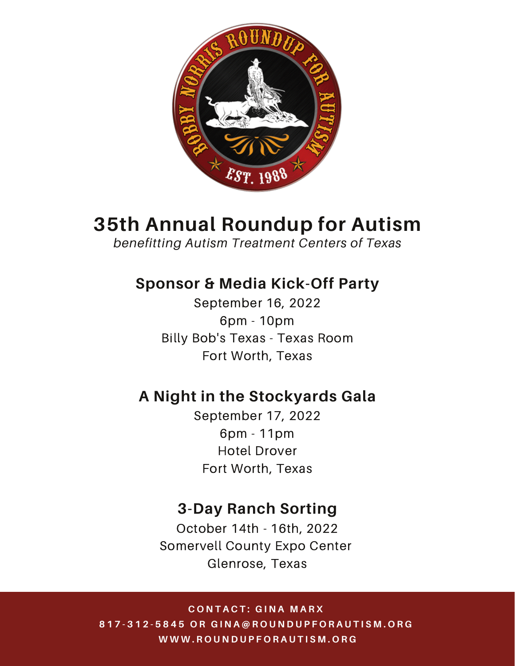

# **35th Annual Roundup for Autism**

*benefitting Autism Treatment Centers of Texas*

# **Sponsor & Media Kick-Off Party**

September 16, 2022 6pm - 10pm Billy Bob's Texas - Texas Room Fort Worth, Texas

# **A Night in the Stockyards Gala**

September 17, 2022 6pm - 11pm Hotel Drover Fort Worth, Texas

# **3-Day Ranch Sorting**

October 14th - 16th, 2022 Somervell County Expo Center Glenrose, Texas

**C O N T A C T : G I N A M A R X** 817-312-5845 OR GINA@ROUNDUPFORAUTISM.ORG **W W W . R O U N D U P F O R A U T I S M . O R G**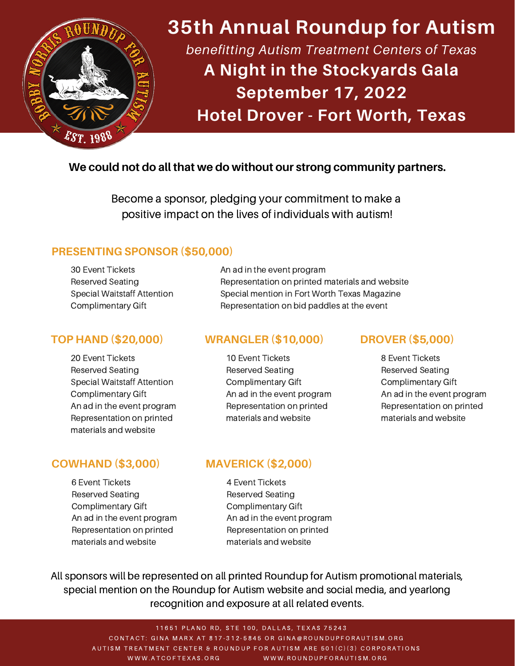

# **35th Annual Roundup for Autism** *benefitting Autism Treatment Centers of Texas* **A Night in the Stockyards Gala September 17, 2022**

**Hotel Drover - Fort Worth, Texas**

#### **We could not do all that we do without our strong community partners.**

Become a sponsor, pledging your commitment to make a positive impact on the lives of individuals with autism!

#### **PRESENTING SPONSOR (\$50,000)**

30 Event Tickets Reserved Seating Special Waitstaff Attention Complimentary Gift

#### **TOP HAND (\$20,000)**

20 Event Tickets Reserved Seating Special Waitstaff Attention Complimentary Gift An ad in the event program Representation on printed materials and website

#### **COWHAND (\$3,000)**

6 Event Tickets Reserved Seating Complimentary Gift An ad in the event program Representation on printed materials and website

#### An ad in the event program Representation on printed materials and website Special mention in Fort Worth Texas Magazine Representation on bid paddles at the event

#### **WRANGLER (\$10,000) DROVER (\$5,000)**

10 Event Tickets Reserved Seating Complimentary Gift An ad in the event program Representation on printed materials and website

8 Event Tickets Reserved Seating Complimentary Gift An ad in the event program Representation on printed materials and website

#### **MAVERICK (\$2,000)**

4 Event Tickets Reserved Seating Complimentary Gift An ad in the event program Representation on printed materials and website

All sponsors will be represented on all printed Roundup for Autism promotional materials, special mention on the Roundup for Autism website and social media, and yearlong recognition and exposure at all related events.

11651 PLANO RD, STE 100, DALLAS, TEXAS 75243 CONTACT: GINA MARX AT 817-312-5845 OR GINA@ROUNDUPFORAUTISM.ORG AUTISM TREATMENT CENTER & ROUNDUP FOR AUTISM ARE 501(C)(3) CORPORATIONS WWW.ATCOFTEXAS.ORG WWW.ROUNDUPFORAUTISM.ORG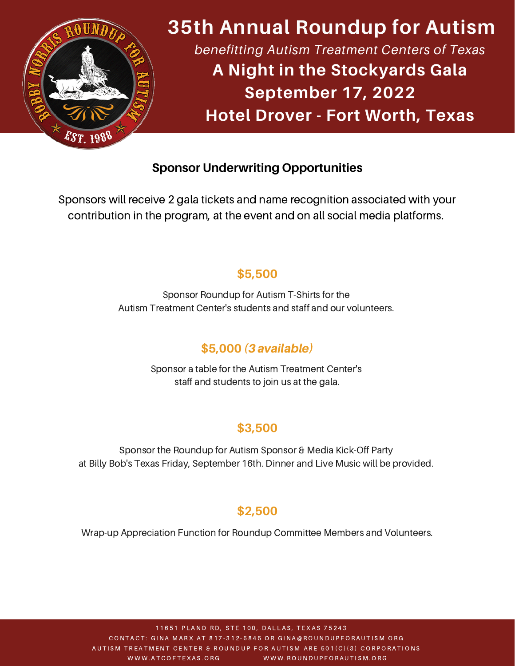

# **35th Annual Roundup for Autism** *benefitting Autism Treatment Centers of Texas* **A Night in the Stockyards Gala September 17, 2022 Hotel Drover - Fort Worth, Texas**

### **Sponsor Underwriting Opportunities**

Sponsors will receive 2 gala tickets and name recognition associated with your contribution in the program, at the event and on all social media platforms.

### **\$5,500**

Sponsor Roundup for Autism T-Shirts for the Autism Treatment Center's students and staff and our volunteers.

### **\$5,000** (3 available)

Sponsor a table for the Autism Treatment Center's staff and students to join us at the gala.

### **\$3,500**

Sponsor the Roundup for Autism Sponsor & Media Kick-Off Party at Billy Bob's Texas Friday, September 16th. Dinner and Live Music will be provided.

### **\$2,500**

Wrap-up Appreciation Function for Roundup Committee Members and Volunteers.

11651 PLANO RD, STE 100, DALLAS, TEXAS 75243 CONTACT: GINA MARX AT 817-312-5845 OR GINA@ROUNDUPFORAUTISM.ORG AUTISM TREATMENT CENTER & ROUNDUP FOR AUTISM ARE 501(C)(3) CORPORATIONS WWW.ATCOFTEXAS.ORG WWW.ROUNDUPFORAUTISM.ORG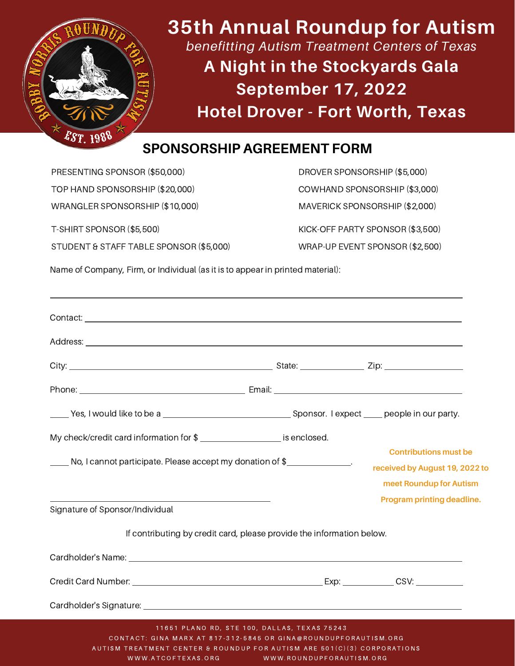

# **35th Annual Roundup for Autism** *benefitting Autism Treatment Centers of Texas* **A Night in the Stockyards Gala September 17, 2022 Hotel Drover - Fort Worth, Texas**

# **SPONSORSHIP AGREEMENT FORM**

PRESENTING SPONSOR (\$50,000) TOP HAND SPONSORSHIP (\$20,000) WRANGLER SPONSORSHIP (\$10,000) T-SHIRT SPONSOR (\$5,500) STUDENT & STAFF TABLE SPONSOR (\$5,000) DROVER SPONSORSHIP (\$5,000) COWHAND SPONSORSHIP (\$3,000) MAVERICK SPONSORSHIP (\$2,000) KICK-OFF PARTY SPONSOR (\$3,500) WRAP-UP EVENT SPONSOR (\$2,500)

Name of Company, Firm, or Individual (as it is to appear in printed material):

| No, I cannot participate. Please accept my donation of \$                                                                                                                                  |  | <b>Contributions must be</b><br>received by August 19, 2022 to<br>meet Roundup for Autism |
|--------------------------------------------------------------------------------------------------------------------------------------------------------------------------------------------|--|-------------------------------------------------------------------------------------------|
| Signature of Sponsor/Individual                                                                                                                                                            |  | Program printing deadline.                                                                |
| If contributing by credit card, please provide the information below.                                                                                                                      |  |                                                                                           |
| Cardholder's Name: <u>example and the contract of the contract of the contract of the contract of the contract of</u>                                                                      |  |                                                                                           |
|                                                                                                                                                                                            |  |                                                                                           |
|                                                                                                                                                                                            |  |                                                                                           |
| 11651 PLANO RD, STE 100, DALLAS, TEXAS 75243<br>CONTACT: GINA MARX AT 817-312-5845 OR GINA@ROUNDUPFORAUTISM.ORG<br>AUTISM TREATMENT CENTER & ROUNDUP FOR AUTISM ARE 501(C)(3) CORPORATIONS |  |                                                                                           |

WWW.ATCOFTEXAS.ORG WWW.ROUNDUPFORAUTISM.ORG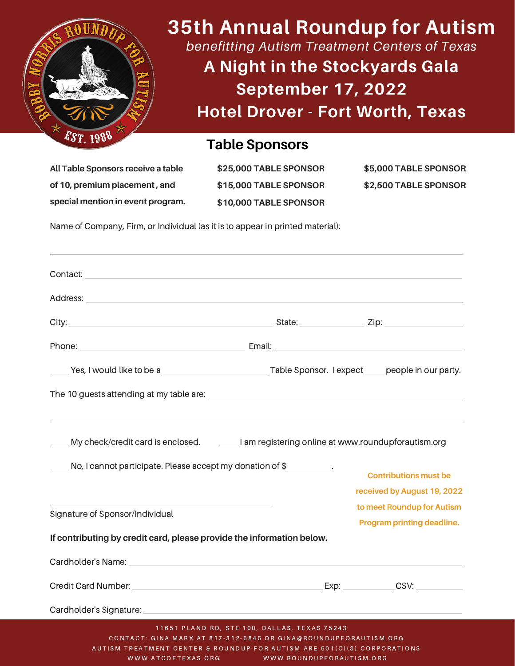

**35th Annual Roundup for Autism**

*benefitting Autism Treatment Centers of Texas*

**A Night in the Stockyards Gala September 17, 2022 Hotel Drover - Fort Worth, Texas**

### **Table Sponsors**

**All Table Sponsors receive a table of 10, premium placement , and special mention in event program.** **\$25,000 TABLE SPONSOR \$15,000 TABLE SPONSOR \$10,000 TABLE SPONSOR**

**\$5,000 TABLE SPONSOR \$2,500 TABLE SPONSOR**

Name of Company, Firm, or Individual (as it is to appear in printed material):

| My check/credit card is enclosed. _________I am registering online at www.roundupforautism.org                                                                                             |  |                                                             |
|--------------------------------------------------------------------------------------------------------------------------------------------------------------------------------------------|--|-------------------------------------------------------------|
| No, I cannot participate. Please accept my donation of \$                                                                                                                                  |  | <b>Contributions must be</b><br>received by August 19, 2022 |
| Signature of Sponsor/Individual                                                                                                                                                            |  | to meet Roundup for Autism<br>Program printing deadline.    |
| If contributing by credit card, please provide the information below.                                                                                                                      |  |                                                             |
|                                                                                                                                                                                            |  |                                                             |
|                                                                                                                                                                                            |  |                                                             |
|                                                                                                                                                                                            |  |                                                             |
| 11651 PLANO RD, STE 100, DALLAS, TEXAS 75243<br>CONTACT: GINA MARX AT 817-312-5845 OR GINA@ROUNDUPFORAUTISM.ORG<br>AUTISM TREATMENT CENTER & ROUNDUP FOR AUTISM ARE 501(C)(3) CORPORATIONS |  |                                                             |

WWW.ATCOFTEXAS.ORG WWW.ROUNDUPFORAUTISM.ORG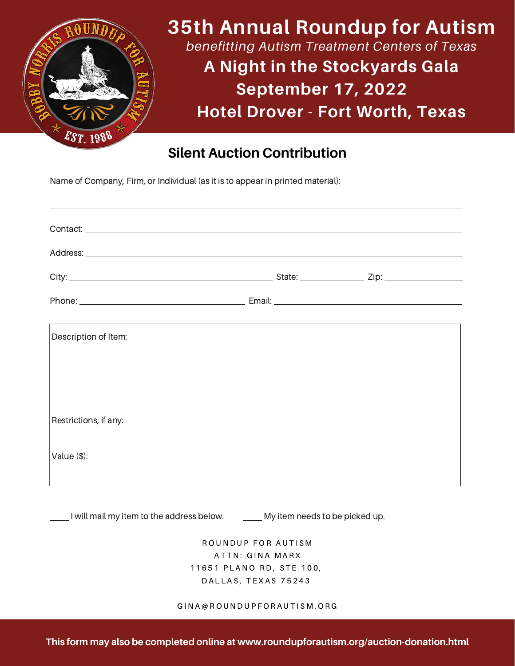

## **Silent Auction Contribution**

Name of Company, Firm, or Individual (as it is to appear in printed material):

| Description of Item:  |  |
|-----------------------|--|
| Restrictions, if any: |  |
| Value $(\$)$ :        |  |

I will mail my item to the address below. Case My item needs to be picked up.

ROUNDUP FOR AUTISM ATTN: GINA MARX 11651 PLANO RD, STE 100, DALLAS, TEXAS 75243

#### G I N A @ R O U N D U P F O R A U T I S M . O R G

**This form may also be completed online at www.roundupforautism.org/auction-donation.html**